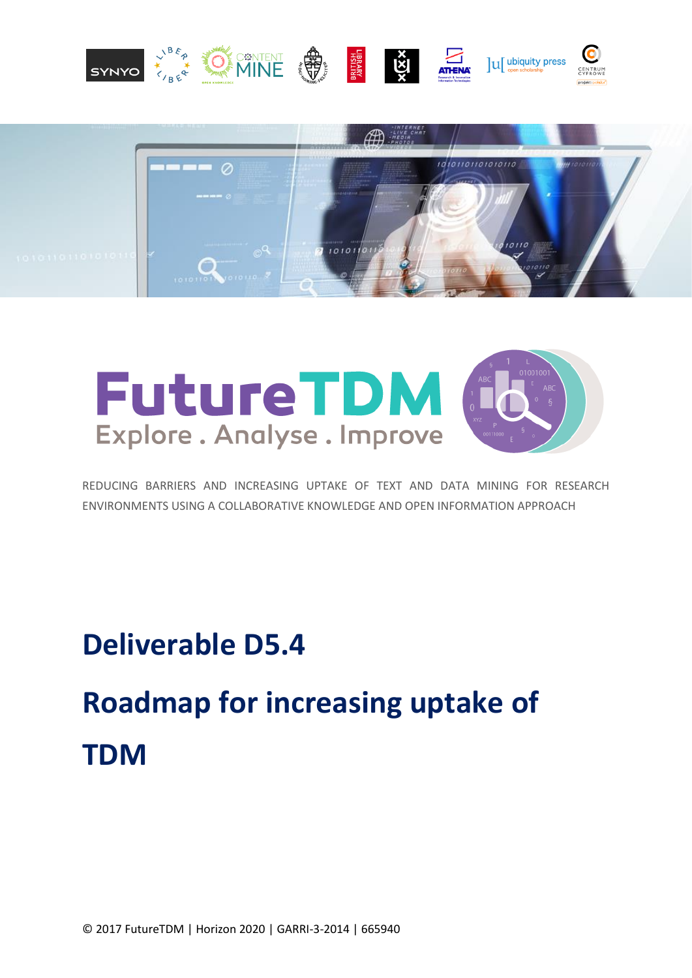





REDUCING BARRIERS AND INCREASING UPTAKE OF TEXT AND DATA MINING FOR RESEARCH ENVIRONMENTS USING A COLLABORATIVE KNOWLEDGE AND OPEN INFORMATION APPROACH

**Deliverable D5.4** 

**Roadmap for increasing uptake of TDM**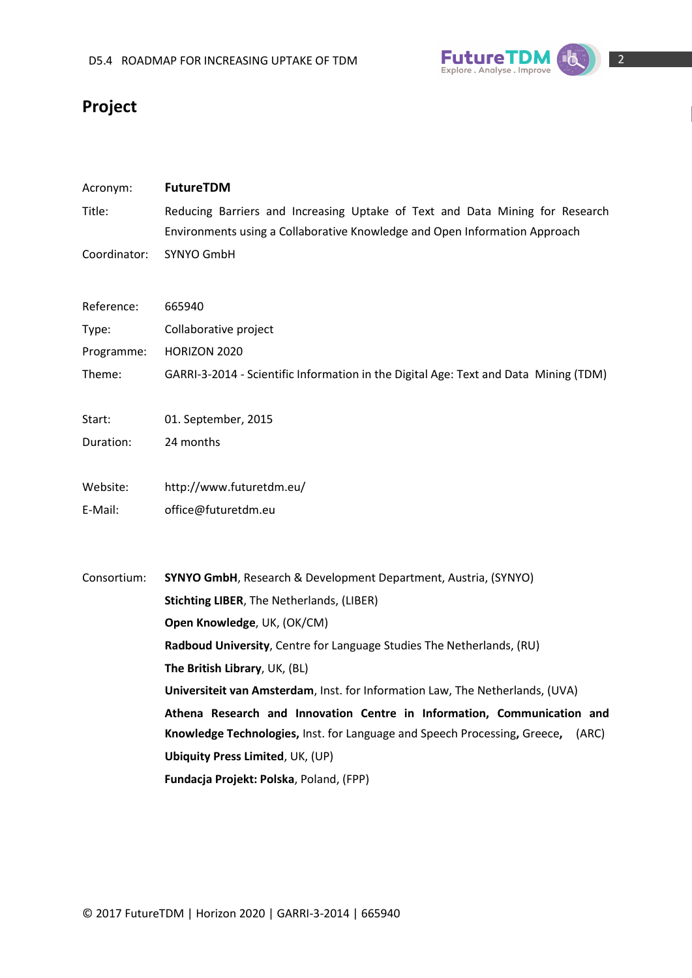

# **Project**

| Acronym:     | <b>FutureTDM</b>                                                                                                                                           |
|--------------|------------------------------------------------------------------------------------------------------------------------------------------------------------|
| Title:       | Reducing Barriers and Increasing Uptake of Text and Data Mining for Research<br>Environments using a Collaborative Knowledge and Open Information Approach |
| Coordinator: | SYNYO GmbH                                                                                                                                                 |
| Reference:   | 665940                                                                                                                                                     |
| Type:        | Collaborative project                                                                                                                                      |
| Programme:   | HORIZON 2020                                                                                                                                               |
| Theme:       | GARRI-3-2014 - Scientific Information in the Digital Age: Text and Data Mining (TDM)                                                                       |
| Start:       | 01. September, 2015                                                                                                                                        |
| Duration:    | 24 months                                                                                                                                                  |
| Website:     | http://www.futuretdm.eu/                                                                                                                                   |
| E-Mail:      | office@futuretdm.eu                                                                                                                                        |
| Consortium:  | <b>SYNYO GmbH, Research &amp; Development Department, Austria, (SYNYO)</b>                                                                                 |
|              | Stichting LIBER, The Netherlands, (LIBER)                                                                                                                  |
|              | Open Knowledge, UK, (OK/CM)                                                                                                                                |
|              | Radboud University, Centre for Language Studies The Netherlands, (RU)                                                                                      |
|              | The British Library, UK, (BL)                                                                                                                              |
|              | Universiteit van Amsterdam, Inst. for Information Law, The Netherlands, (UVA)                                                                              |
|              | Athena Research and Innovation Centre in Information, Communication and                                                                                    |
|              | Knowledge Technologies, Inst. for Language and Speech Processing, Greece,<br>(ARC)                                                                         |
|              | <b>Ubiquity Press Limited, UK, (UP)</b>                                                                                                                    |
|              | Fundacja Projekt: Polska, Poland, (FPP)                                                                                                                    |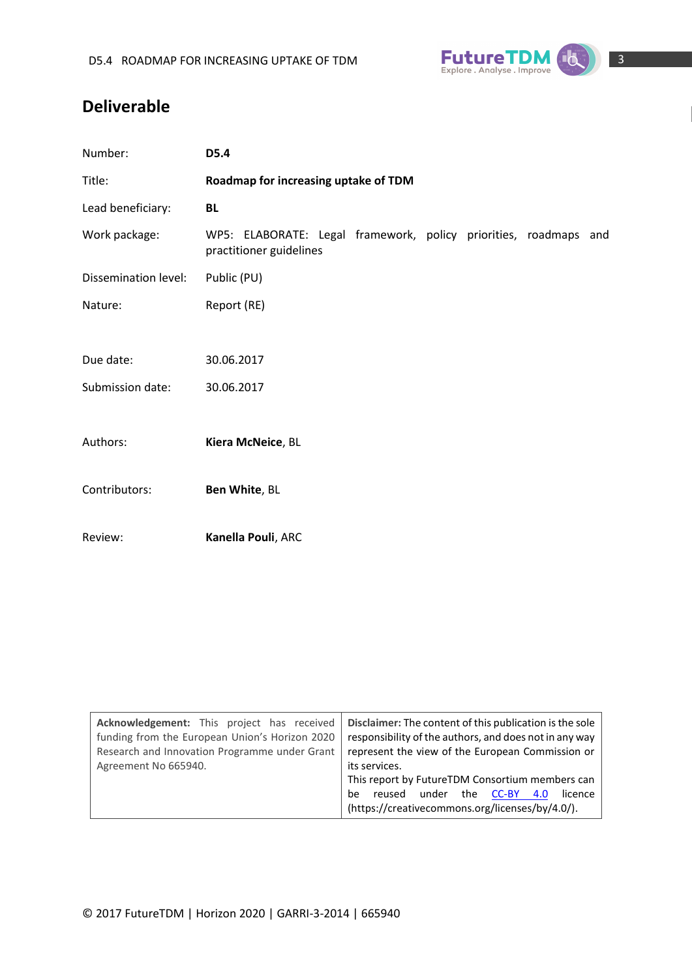

# **Deliverable**

| Number:              | D5.4                                                                                        |  |  |  |  |
|----------------------|---------------------------------------------------------------------------------------------|--|--|--|--|
| Title:               | Roadmap for increasing uptake of TDM                                                        |  |  |  |  |
| Lead beneficiary:    | <b>BL</b>                                                                                   |  |  |  |  |
| Work package:        | WP5: ELABORATE: Legal framework, policy priorities, roadmaps and<br>practitioner guidelines |  |  |  |  |
| Dissemination level: | Public (PU)                                                                                 |  |  |  |  |
| Nature:              | Report (RE)                                                                                 |  |  |  |  |
|                      |                                                                                             |  |  |  |  |
| Due date:            | 30.06.2017                                                                                  |  |  |  |  |
| Submission date:     | 30.06.2017                                                                                  |  |  |  |  |
|                      |                                                                                             |  |  |  |  |
| Authors:             | Kiera McNeice, BL                                                                           |  |  |  |  |
|                      |                                                                                             |  |  |  |  |
| Contributors:        | Ben White, BL                                                                               |  |  |  |  |
|                      |                                                                                             |  |  |  |  |
| Review:              | Kanella Pouli, ARC                                                                          |  |  |  |  |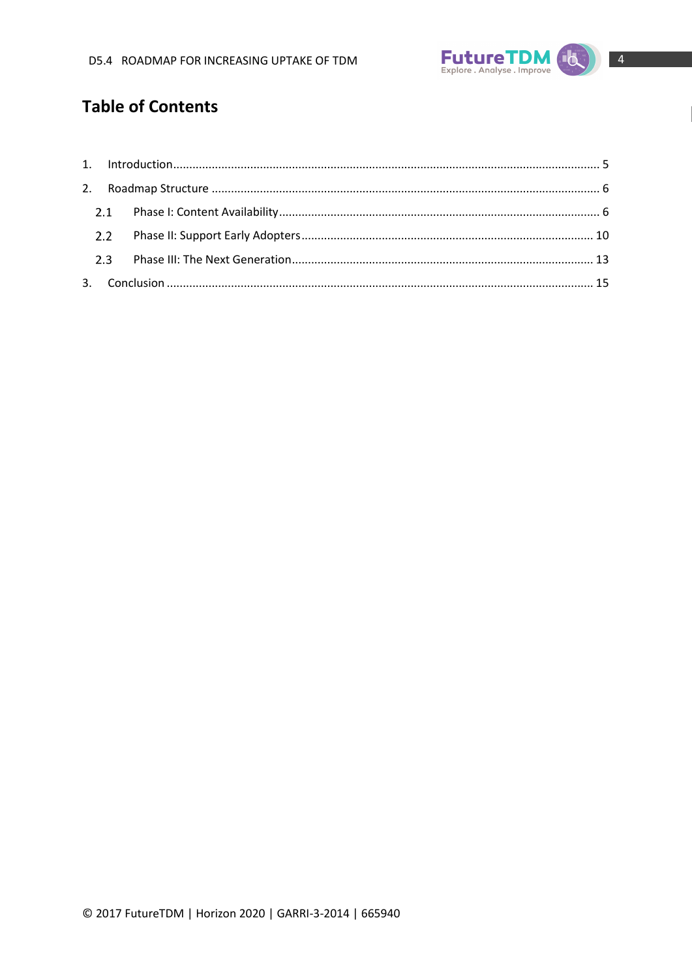

# **Table of Contents**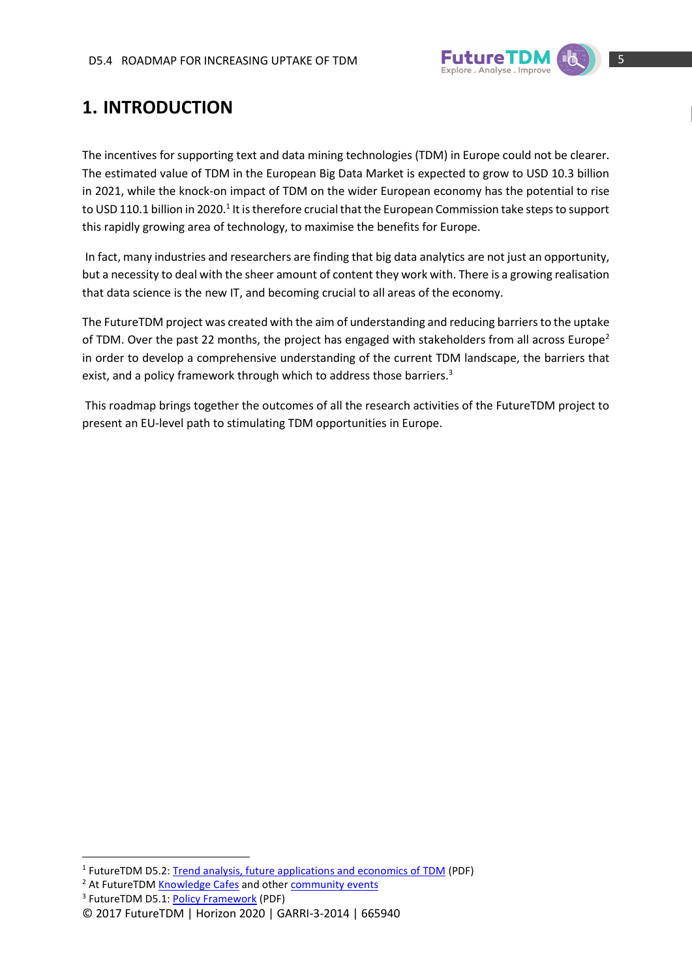

# <span id="page-4-0"></span>**1. INTRODUCTION**

The incentives for supporting text and data mining technologies (TDM) in Europe could not be clearer. The estimated value of TDM in the European Big Data Market is expected to grow to USD 10.3 billion in 2021, while the knock-on impact of TDM on the wider European economy has the potential to rise to USD 110.1 billion in 2020.<sup>1</sup> It is therefore crucial that the European Commission take steps to support this rapidly growing area of technology, to maximise the benefits for Europe.

In fact, many industries and researchers are finding that big data analytics are not just an opportunity, but a necessity to deal with the sheer amount of content they work with. There is a growing realisation that data science is the new IT, and becoming crucial to all areas of the economy.

The FutureTDM project was created with the aim of understanding and reducing barriers to the uptake of TDM. Over the past 22 months, the project has engaged with stakeholders from all across Europe<sup>2</sup> in order to develop a comprehensive understanding of the current TDM landscape, the barriers that exist, and a policy framework through which to address those barriers.<sup>3</sup>

This roadmap brings together the outcomes of all the research activities of the FutureTDM project to present an EU-level path to stimulating TDM opportunities in Europe.

**.** 

<sup>&</sup>lt;sup>1</sup> FutureTDM D5.2: [Trend analysis, future applications and economics of TDM](http://www.futuretdm.eu/knowledge-library/?b5-file=3721&b5-folder=2227) (PDF)

<sup>&</sup>lt;sup>2</sup> At FutureTD[M Knowledge Cafes](http://www.futuretdm.eu/knowledge-cafes/) and other [community events](http://www.futuretdm.eu/community-events/)

<sup>&</sup>lt;sup>3</sup> FutureTDM D5.1: **Policy Framework** (PDF)

<sup>©</sup> 2017 FutureTDM | Horizon 2020 | GARRI-3-2014 | 665940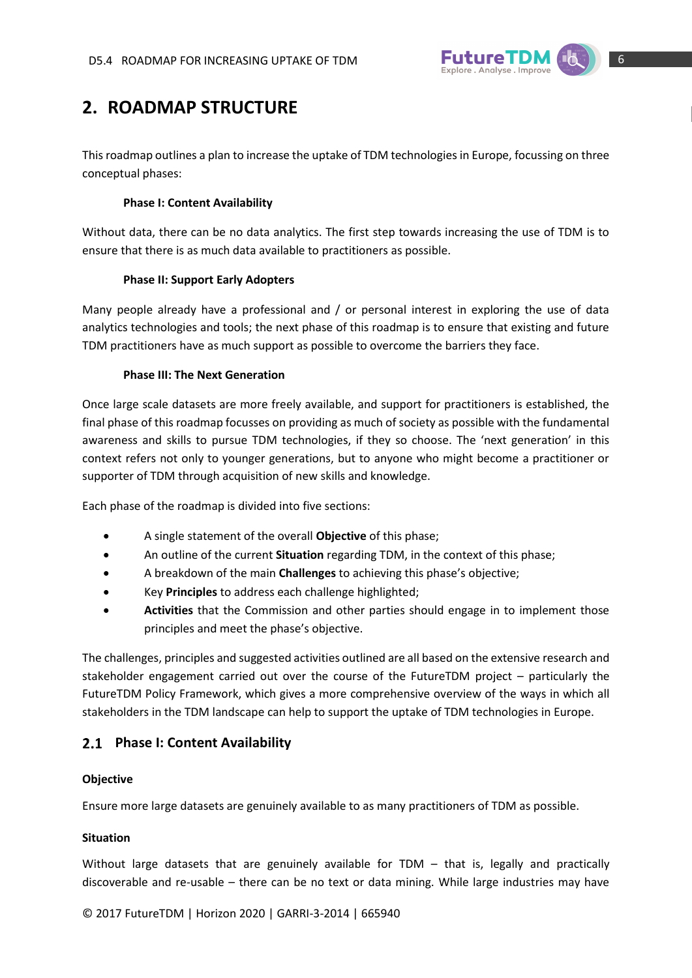

# <span id="page-5-0"></span>**2. ROADMAP STRUCTURE**

This roadmap outlines a plan to increase the uptake of TDM technologies in Europe, focussing on three conceptual phases:

## **Phase I: Content Availability**

Without data, there can be no data analytics. The first step towards increasing the use of TDM is to ensure that there is as much data available to practitioners as possible.

## **Phase II: Support Early Adopters**

Many people already have a professional and / or personal interest in exploring the use of data analytics technologies and tools; the next phase of this roadmap is to ensure that existing and future TDM practitioners have as much support as possible to overcome the barriers they face.

## **Phase III: The Next Generation**

Once large scale datasets are more freely available, and support for practitioners is established, the final phase of this roadmap focusses on providing as much of society as possible with the fundamental awareness and skills to pursue TDM technologies, if they so choose. The 'next generation' in this context refers not only to younger generations, but to anyone who might become a practitioner or supporter of TDM through acquisition of new skills and knowledge.

Each phase of the roadmap is divided into five sections:

- A single statement of the overall **Objective** of this phase;
- An outline of the current **Situation** regarding TDM, in the context of this phase;
- A breakdown of the main **Challenges** to achieving this phase's objective;
- Key **Principles** to address each challenge highlighted;
- **Activities** that the Commission and other parties should engage in to implement those principles and meet the phase's objective.

The challenges, principles and suggested activities outlined are all based on the extensive research and stakeholder engagement carried out over the course of the FutureTDM project – particularly the FutureTDM Policy Framework, which gives a more comprehensive overview of the ways in which all stakeholders in the TDM landscape can help to support the uptake of TDM technologies in Europe.

# <span id="page-5-1"></span>**Phase I: Content Availability**

## **Objective**

Ensure more large datasets are genuinely available to as many practitioners of TDM as possible.

## **Situation**

Without large datasets that are genuinely available for TDM – that is, legally and practically discoverable and re-usable – there can be no text or data mining. While large industries may have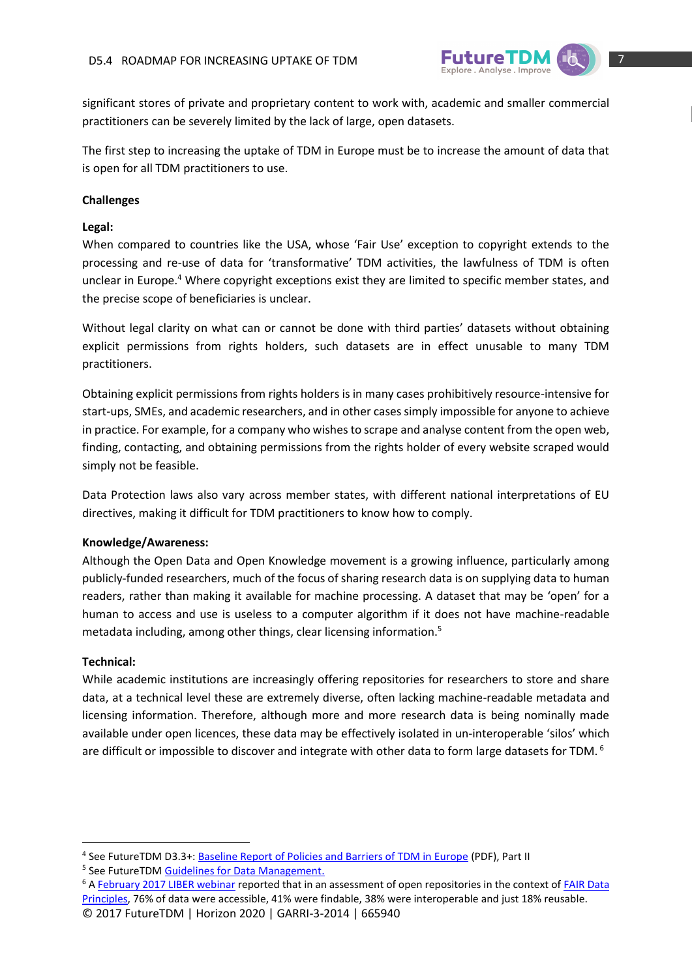

significant stores of private and proprietary content to work with, academic and smaller commercial practitioners can be severely limited by the lack of large, open datasets.

The first step to increasing the uptake of TDM in Europe must be to increase the amount of data that is open for all TDM practitioners to use.

## **Challenges**

## **Legal:**

When compared to countries like the USA, whose 'Fair Use' exception to copyright extends to the processing and re-use of data for 'transformative' TDM activities, the lawfulness of TDM is often unclear in Europe.<sup>4</sup> Where copyright exceptions exist they are limited to specific member states, and the precise scope of beneficiaries is unclear.

Without legal clarity on what can or cannot be done with third parties' datasets without obtaining explicit permissions from rights holders, such datasets are in effect unusable to many TDM practitioners.

Obtaining explicit permissions from rights holders is in many cases prohibitively resource-intensive for start-ups, SMEs, and academic researchers, and in other cases simply impossible for anyone to achieve in practice. For example, for a company who wishes to scrape and analyse content from the open web, finding, contacting, and obtaining permissions from the rights holder of every website scraped would simply not be feasible.

Data Protection laws also vary across member states, with different national interpretations of EU directives, making it difficult for TDM practitioners to know how to comply.

## **Knowledge/Awareness:**

Although the Open Data and Open Knowledge movement is a growing influence, particularly among publicly-funded researchers, much of the focus of sharing research data is on supplying data to human readers, rather than making it available for machine processing. A dataset that may be 'open' for a human to access and use is useless to a computer algorithm if it does not have machine-readable metadata including, among other things, clear licensing information.<sup>5</sup>

## **Technical:**

1

While academic institutions are increasingly offering repositories for researchers to store and share data, at a technical level these are extremely diverse, often lacking machine-readable metadata and licensing information. Therefore, although more and more research data is being nominally made available under open licences, these data may be effectively isolated in un-interoperable 'silos' which are difficult or impossible to discover and integrate with other data to form large datasets for TDM.<sup>6</sup>

<sup>&</sup>lt;sup>4</sup> See FutureTDM D3.3+: **Baseline Report of Policies and Barriers of TDM in Europe** (PDF), Part II

<sup>&</sup>lt;sup>5</sup> See FutureTDM **Guidelines for Data Management**.

<sup>©</sup> 2017 FutureTDM | Horizon 2020 | GARRI-3-2014 | 665940 <sup>6</sup> A [February 2017 LIBER webinar](http://libereurope.eu/blog/2017/02/23/liber-webinar-fair-data-principles-fair/) reported that in an assessment of open repositories in the context of FAIR Data [Principles,](https://www.nature.com/articles/sdata201618) 76% of data were accessible, 41% were findable, 38% were interoperable and just 18% reusable.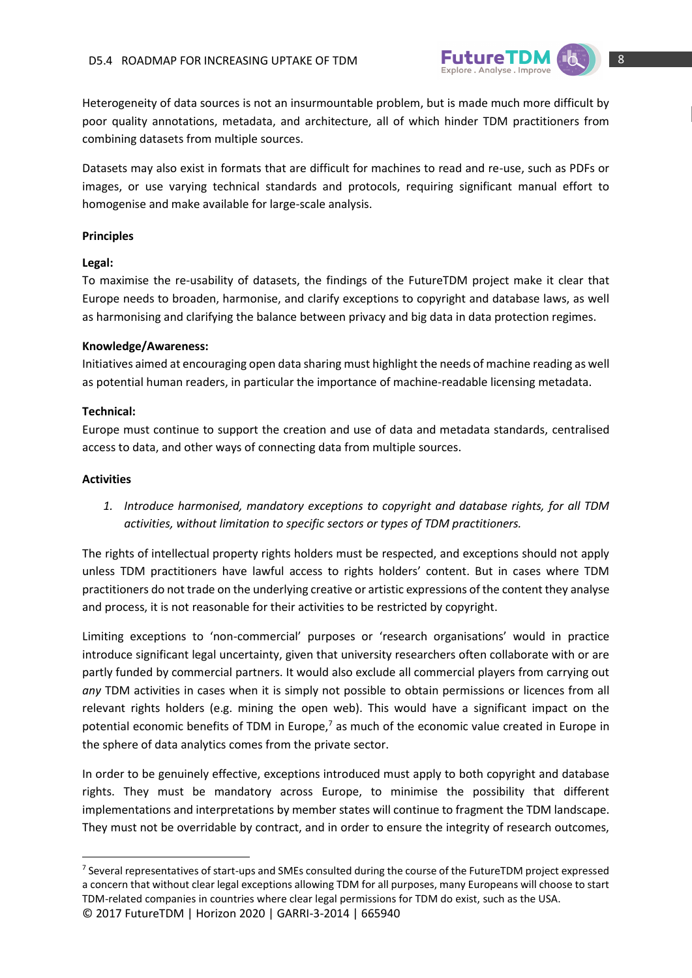

Heterogeneity of data sources is not an insurmountable problem, but is made much more difficult by poor quality annotations, metadata, and architecture, all of which hinder TDM practitioners from combining datasets from multiple sources.

Datasets may also exist in formats that are difficult for machines to read and re-use, such as PDFs or images, or use varying technical standards and protocols, requiring significant manual effort to homogenise and make available for large-scale analysis.

## **Principles**

## **Legal:**

To maximise the re-usability of datasets, the findings of the FutureTDM project make it clear that Europe needs to broaden, harmonise, and clarify exceptions to copyright and database laws, as well as harmonising and clarifying the balance between privacy and big data in data protection regimes.

## **Knowledge/Awareness:**

Initiatives aimed at encouraging open data sharing must highlight the needs of machine reading as well as potential human readers, in particular the importance of machine-readable licensing metadata.

#### **Technical:**

Europe must continue to support the creation and use of data and metadata standards, centralised access to data, and other ways of connecting data from multiple sources.

#### **Activities**

**.** 

*1. Introduce harmonised, mandatory exceptions to copyright and database rights, for all TDM activities, without limitation to specific sectors or types of TDM practitioners.*

The rights of intellectual property rights holders must be respected, and exceptions should not apply unless TDM practitioners have lawful access to rights holders' content. But in cases where TDM practitioners do not trade on the underlying creative or artistic expressions of the content they analyse and process, it is not reasonable for their activities to be restricted by copyright.

Limiting exceptions to 'non-commercial' purposes or 'research organisations' would in practice introduce significant legal uncertainty, given that university researchers often collaborate with or are partly funded by commercial partners. It would also exclude all commercial players from carrying out *any* TDM activities in cases when it is simply not possible to obtain permissions or licences from all relevant rights holders (e.g. mining the open web). This would have a significant impact on the potential economic benefits of TDM in Europe, $<sup>7</sup>$  as much of the economic value created in Europe in</sup> the sphere of data analytics comes from the private sector.

In order to be genuinely effective, exceptions introduced must apply to both copyright and database rights. They must be mandatory across Europe, to minimise the possibility that different implementations and interpretations by member states will continue to fragment the TDM landscape. They must not be overridable by contract, and in order to ensure the integrity of research outcomes,

<sup>©</sup> 2017 FutureTDM | Horizon 2020 | GARRI-3-2014 | 665940 <sup>7</sup> Several representatives of start-ups and SMEs consulted during the course of the FutureTDM project expressed a concern that without clear legal exceptions allowing TDM for all purposes, many Europeans will choose to start TDM-related companies in countries where clear legal permissions for TDM do exist, such as the USA.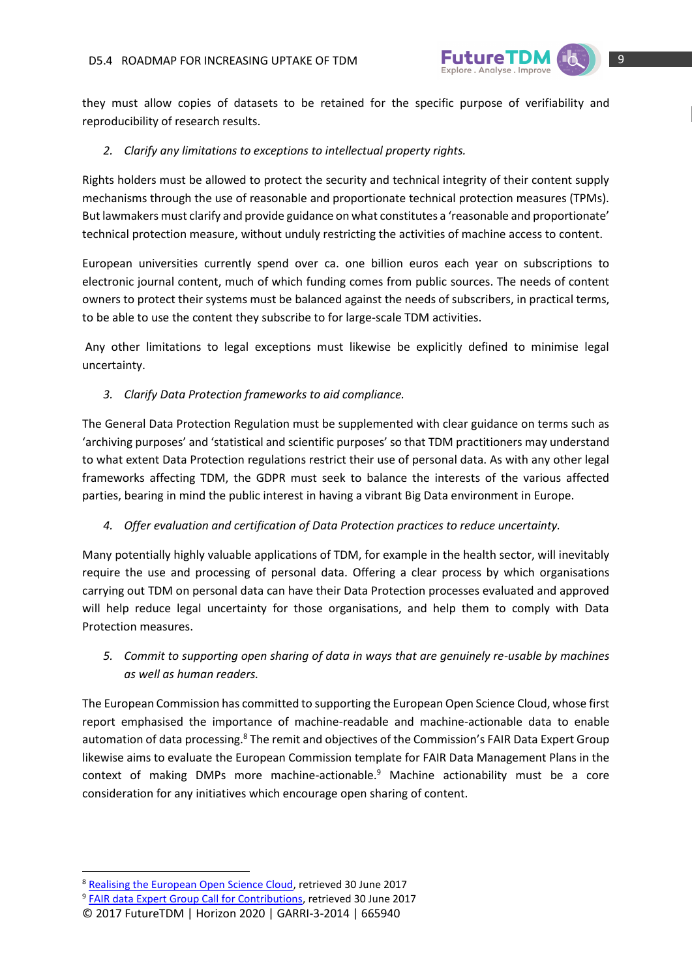

they must allow copies of datasets to be retained for the specific purpose of verifiability and reproducibility of research results.

## *2. Clarify any limitations to exceptions to intellectual property rights.*

Rights holders must be allowed to protect the security and technical integrity of their content supply mechanisms through the use of reasonable and proportionate technical protection measures (TPMs). But lawmakers must clarify and provide guidance on what constitutes a 'reasonable and proportionate' technical protection measure, without unduly restricting the activities of machine access to content.

European universities currently spend over ca. one billion euros each year on subscriptions to electronic journal content, much of which funding comes from public sources. The needs of content owners to protect their systems must be balanced against the needs of subscribers, in practical terms, to be able to use the content they subscribe to for large-scale TDM activities.

Any other limitations to legal exceptions must likewise be explicitly defined to minimise legal uncertainty.

*3. Clarify Data Protection frameworks to aid compliance.*

The General Data Protection Regulation must be supplemented with clear guidance on terms such as 'archiving purposes' and 'statistical and scientific purposes' so that TDM practitioners may understand to what extent Data Protection regulations restrict their use of personal data. As with any other legal frameworks affecting TDM, the GDPR must seek to balance the interests of the various affected parties, bearing in mind the public interest in having a vibrant Big Data environment in Europe.

*4. Offer evaluation and certification of Data Protection practices to reduce uncertainty.*

Many potentially highly valuable applications of TDM, for example in the health sector, will inevitably require the use and processing of personal data. Offering a clear process by which organisations carrying out TDM on personal data can have their Data Protection processes evaluated and approved will help reduce legal uncertainty for those organisations, and help them to comply with Data Protection measures.

*5. Commit to supporting open sharing of data in ways that are genuinely re-usable by machines as well as human readers.*

The European Commission has committed to supporting the European Open Science Cloud, whose first report emphasised the importance of machine-readable and machine-actionable data to enable automation of data processing.<sup>8</sup> The remit and objectives of the Commission's FAIR Data Expert Group likewise aims to evaluate the European Commission template for FAIR Data Management Plans in the context of making DMPs more machine-actionable.<sup>9</sup> Machine actionability must be a core consideration for any initiatives which encourage open sharing of content.

**.** 

<sup>&</sup>lt;sup>8</sup> [Realising the European Open Science Cloud,](https://ec.europa.eu/research/openscience/pdf/realising_the_european_open_science_cloud_2016.pdf#view=fit&pagemode=none) retrieved 30 June 2017

<sup>&</sup>lt;sup>9</sup> [FAIR data Expert Group Call for Contributions,](https://ec.europa.eu/research/openscience/pdf/fair_eg.pdf#view=fit&pagemode=none) retrieved 30 June 2017

<sup>©</sup> 2017 FutureTDM | Horizon 2020 | GARRI-3-2014 | 665940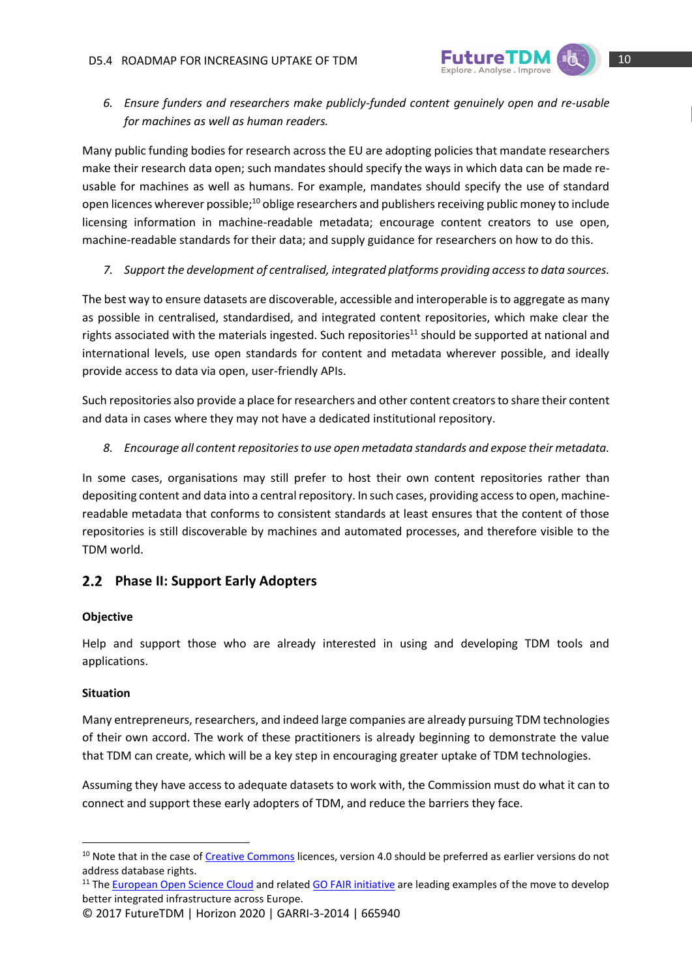

*6. Ensure funders and researchers make publicly-funded content genuinely open and re-usable for machines as well as human readers.*

Many public funding bodies for research across the EU are adopting policies that mandate researchers make their research data open; such mandates should specify the ways in which data can be made reusable for machines as well as humans. For example, mandates should specify the use of standard open licences wherever possible;<sup>10</sup> oblige researchers and publishers receiving public money to include licensing information in machine-readable metadata; encourage content creators to use open, machine-readable standards for their data; and supply guidance for researchers on how to do this.

*7. Support the development of centralised, integrated platforms providing access to data sources.*

The best way to ensure datasets are discoverable, accessible and interoperable is to aggregate as many as possible in centralised, standardised, and integrated content repositories, which make clear the rights associated with the materials ingested. Such repositories<sup>11</sup> should be supported at national and international levels, use open standards for content and metadata wherever possible, and ideally provide access to data via open, user-friendly APIs.

Such repositories also provide a place for researchers and other content creators to share their content and data in cases where they may not have a dedicated institutional repository.

*8. Encourage all content repositories to use open metadata standards and expose their metadata.*

In some cases, organisations may still prefer to host their own content repositories rather than depositing content and data into a central repository. In such cases, providing access to open, machinereadable metadata that conforms to consistent standards at least ensures that the content of those repositories is still discoverable by machines and automated processes, and therefore visible to the TDM world.

# <span id="page-9-0"></span>**Phase II: Support Early Adopters**

# **Objective**

Help and support those who are already interested in using and developing TDM tools and applications.

# **Situation**

1

Many entrepreneurs, researchers, and indeed large companies are already pursuing TDM technologies of their own accord. The work of these practitioners is already beginning to demonstrate the value that TDM can create, which will be a key step in encouraging greater uptake of TDM technologies.

Assuming they have access to adequate datasets to work with, the Commission must do what it can to connect and support these early adopters of TDM, and reduce the barriers they face.

<sup>&</sup>lt;sup>10</sup> Note that in the case of [Creative Commons](https://creativecommons.org/) licences, version 4.0 should be preferred as earlier versions do not address database rights.

<sup>&</sup>lt;sup>11</sup> The **European Open Science Cloud** and related **GO FAIR initiative** are leading examples of the move to develop better integrated infrastructure across Europe.

<sup>©</sup> 2017 FutureTDM | Horizon 2020 | GARRI-3-2014 | 665940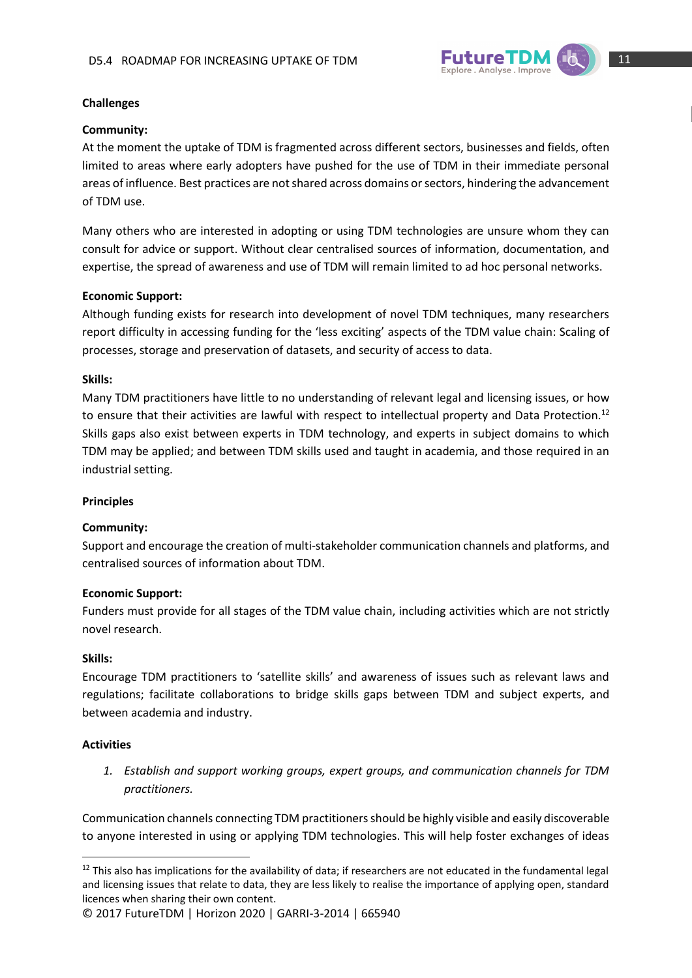

## **Challenges**

## **Community:**

At the moment the uptake of TDM is fragmented across different sectors, businesses and fields, often limited to areas where early adopters have pushed for the use of TDM in their immediate personal areas of influence. Best practices are not shared across domains or sectors, hindering the advancement of TDM use.

Many others who are interested in adopting or using TDM technologies are unsure whom they can consult for advice or support. Without clear centralised sources of information, documentation, and expertise, the spread of awareness and use of TDM will remain limited to ad hoc personal networks.

## **Economic Support:**

Although funding exists for research into development of novel TDM techniques, many researchers report difficulty in accessing funding for the 'less exciting' aspects of the TDM value chain: Scaling of processes, storage and preservation of datasets, and security of access to data.

#### **Skills:**

Many TDM practitioners have little to no understanding of relevant legal and licensing issues, or how to ensure that their activities are lawful with respect to intellectual property and Data Protection.<sup>12</sup> Skills gaps also exist between experts in TDM technology, and experts in subject domains to which TDM may be applied; and between TDM skills used and taught in academia, and those required in an industrial setting.

## **Principles**

## **Community:**

Support and encourage the creation of multi-stakeholder communication channels and platforms, and centralised sources of information about TDM.

#### **Economic Support:**

Funders must provide for all stages of the TDM value chain, including activities which are not strictly novel research.

## **Skills:**

Encourage TDM practitioners to 'satellite skills' and awareness of issues such as relevant laws and regulations; facilitate collaborations to bridge skills gaps between TDM and subject experts, and between academia and industry.

## **Activities**

**.** 

*1. Establish and support working groups, expert groups, and communication channels for TDM practitioners.*

Communication channels connecting TDM practitioners should be highly visible and easily discoverable to anyone interested in using or applying TDM technologies. This will help foster exchanges of ideas

 $12$  This also has implications for the availability of data; if researchers are not educated in the fundamental legal and licensing issues that relate to data, they are less likely to realise the importance of applying open, standard licences when sharing their own content.

<sup>©</sup> 2017 FutureTDM | Horizon 2020 | GARRI-3-2014 | 665940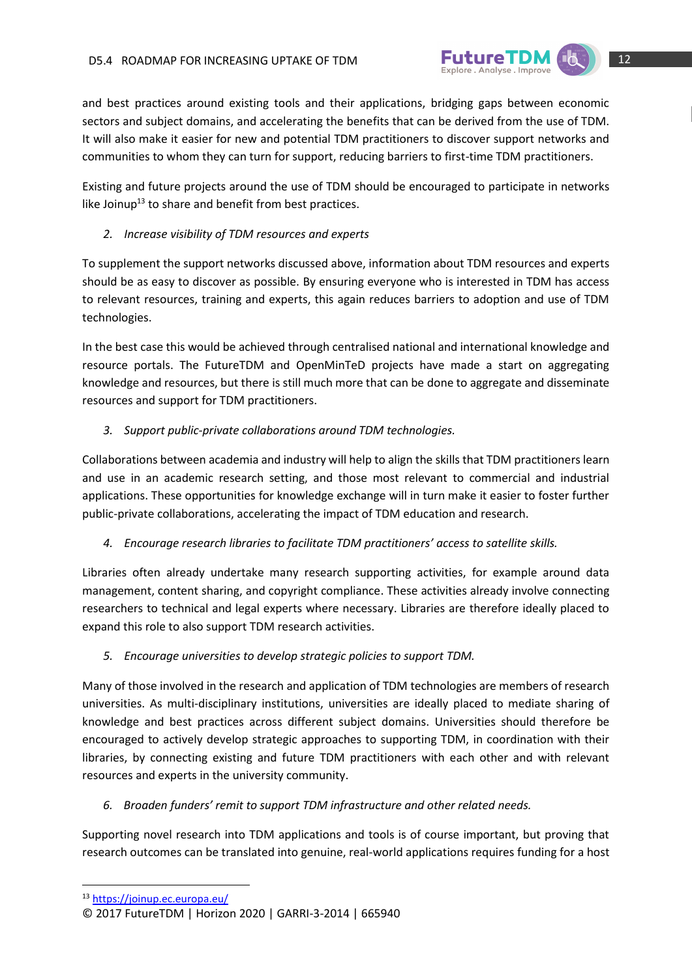

and best practices around existing tools and their applications, bridging gaps between economic sectors and subject domains, and accelerating the benefits that can be derived from the use of TDM. It will also make it easier for new and potential TDM practitioners to discover support networks and communities to whom they can turn for support, reducing barriers to first-time TDM practitioners.

Existing and future projects around the use of TDM should be encouraged to participate in networks like Joinup $13$  to share and benefit from best practices.

## *2. Increase visibility of TDM resources and experts*

To supplement the support networks discussed above, information about TDM resources and experts should be as easy to discover as possible. By ensuring everyone who is interested in TDM has access to relevant resources, training and experts, this again reduces barriers to adoption and use of TDM technologies.

In the best case this would be achieved through centralised national and international knowledge and resource portals. The FutureTDM and OpenMinTeD projects have made a start on aggregating knowledge and resources, but there is still much more that can be done to aggregate and disseminate resources and support for TDM practitioners.

# *3. Support public-private collaborations around TDM technologies.*

Collaborations between academia and industry will help to align the skills that TDM practitioners learn and use in an academic research setting, and those most relevant to commercial and industrial applications. These opportunities for knowledge exchange will in turn make it easier to foster further public-private collaborations, accelerating the impact of TDM education and research.

*4. Encourage research libraries to facilitate TDM practitioners' access to satellite skills.*

Libraries often already undertake many research supporting activities, for example around data management, content sharing, and copyright compliance. These activities already involve connecting researchers to technical and legal experts where necessary. Libraries are therefore ideally placed to expand this role to also support TDM research activities.

# *5. Encourage universities to develop strategic policies to support TDM.*

Many of those involved in the research and application of TDM technologies are members of research universities. As multi-disciplinary institutions, universities are ideally placed to mediate sharing of knowledge and best practices across different subject domains. Universities should therefore be encouraged to actively develop strategic approaches to supporting TDM, in coordination with their libraries, by connecting existing and future TDM practitioners with each other and with relevant resources and experts in the university community.

# *6. Broaden funders' remit to support TDM infrastructure and other related needs.*

Supporting novel research into TDM applications and tools is of course important, but proving that research outcomes can be translated into genuine, real-world applications requires funding for a host

**.** 

<sup>13</sup> <https://joinup.ec.europa.eu/>

<sup>©</sup> 2017 FutureTDM | Horizon 2020 | GARRI-3-2014 | 665940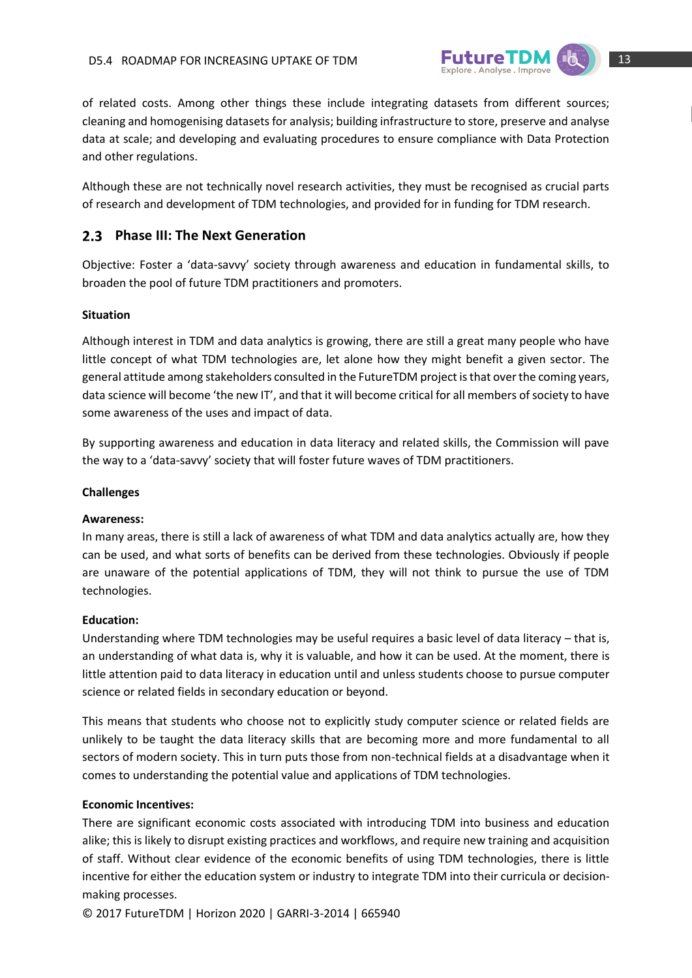

of related costs. Among other things these include integrating datasets from different sources; cleaning and homogenising datasets for analysis; building infrastructure to store, preserve and analyse data at scale; and developing and evaluating procedures to ensure compliance with Data Protection and other regulations.

Although these are not technically novel research activities, they must be recognised as crucial parts of research and development of TDM technologies, and provided for in funding for TDM research.

# <span id="page-12-0"></span>**Phase III: The Next Generation**

Objective: Foster a 'data-savvy' society through awareness and education in fundamental skills, to broaden the pool of future TDM practitioners and promoters.

#### **Situation**

Although interest in TDM and data analytics is growing, there are still a great many people who have little concept of what TDM technologies are, let alone how they might benefit a given sector. The general attitude among stakeholders consulted in the FutureTDM project is that over the coming years, data science will become 'the new IT', and that it will become critical for all members of society to have some awareness of the uses and impact of data.

By supporting awareness and education in data literacy and related skills, the Commission will pave the way to a 'data-savvy' society that will foster future waves of TDM practitioners.

#### **Challenges**

#### **Awareness:**

In many areas, there is still a lack of awareness of what TDM and data analytics actually are, how they can be used, and what sorts of benefits can be derived from these technologies. Obviously if people are unaware of the potential applications of TDM, they will not think to pursue the use of TDM technologies.

#### **Education:**

Understanding where TDM technologies may be useful requires a basic level of data literacy – that is, an understanding of what data is, why it is valuable, and how it can be used. At the moment, there is little attention paid to data literacy in education until and unless students choose to pursue computer science or related fields in secondary education or beyond.

This means that students who choose not to explicitly study computer science or related fields are unlikely to be taught the data literacy skills that are becoming more and more fundamental to all sectors of modern society. This in turn puts those from non-technical fields at a disadvantage when it comes to understanding the potential value and applications of TDM technologies.

#### **Economic Incentives:**

There are significant economic costs associated with introducing TDM into business and education alike; this is likely to disrupt existing practices and workflows, and require new training and acquisition of staff. Without clear evidence of the economic benefits of using TDM technologies, there is little incentive for either the education system or industry to integrate TDM into their curricula or decisionmaking processes.

© 2017 FutureTDM | Horizon 2020 | GARRI-3-2014 | 665940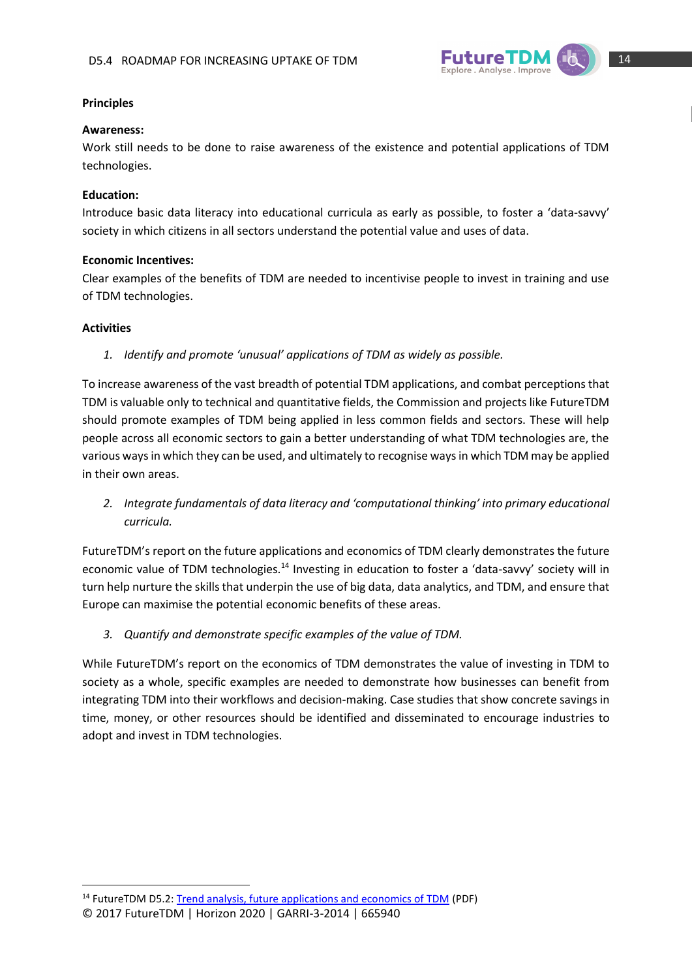

## **Principles**

#### **Awareness:**

Work still needs to be done to raise awareness of the existence and potential applications of TDM technologies.

#### **Education:**

Introduce basic data literacy into educational curricula as early as possible, to foster a 'data-savvy' society in which citizens in all sectors understand the potential value and uses of data.

#### **Economic Incentives:**

Clear examples of the benefits of TDM are needed to incentivise people to invest in training and use of TDM technologies.

#### **Activities**

**.** 

*1. Identify and promote 'unusual' applications of TDM as widely as possible.*

To increase awareness of the vast breadth of potential TDM applications, and combat perceptions that TDM is valuable only to technical and quantitative fields, the Commission and projects like FutureTDM should promote examples of TDM being applied in less common fields and sectors. These will help people across all economic sectors to gain a better understanding of what TDM technologies are, the various ways in which they can be used, and ultimately to recognise ways in which TDM may be applied in their own areas.

*2. Integrate fundamentals of data literacy and 'computational thinking' into primary educational curricula.*

FutureTDM's report on the future applications and economics of TDM clearly demonstrates the future economic value of TDM technologies.<sup>14</sup> Investing in education to foster a 'data-savvy' society will in turn help nurture the skills that underpin the use of big data, data analytics, and TDM, and ensure that Europe can maximise the potential economic benefits of these areas.

*3. Quantify and demonstrate specific examples of the value of TDM.*

While FutureTDM's report on the economics of TDM demonstrates the value of investing in TDM to society as a whole, specific examples are needed to demonstrate how businesses can benefit from integrating TDM into their workflows and decision-making. Case studies that show concrete savings in time, money, or other resources should be identified and disseminated to encourage industries to adopt and invest in TDM technologies.

<sup>©</sup> 2017 FutureTDM | Horizon 2020 | GARRI-3-2014 | 665940 <sup>14</sup> FutureTDM D5.2: [Trend analysis, future applications and economics of TDM](http://www.futuretdm.eu/knowledge-library/?b5-file=3721&b5-folder=2227) (PDF)